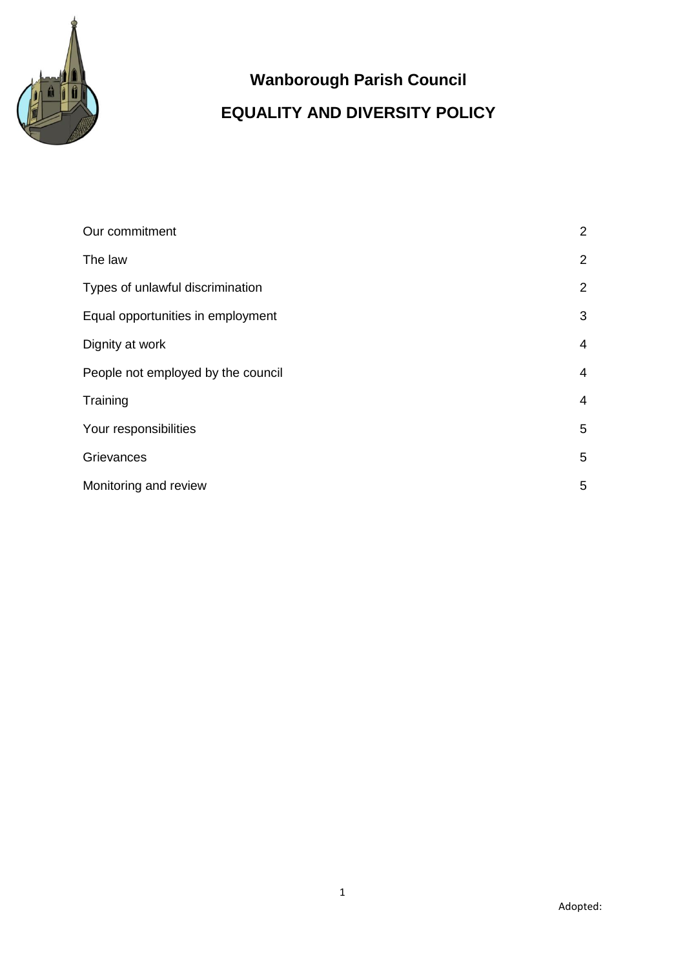

# **Wanborough Parish Council EQUALITY AND DIVERSITY POLICY**

| Our commitment                     | $\overline{2}$ |
|------------------------------------|----------------|
| The law                            | $\overline{2}$ |
| Types of unlawful discrimination   | $\overline{2}$ |
| Equal opportunities in employment  | 3              |
| Dignity at work                    | $\overline{4}$ |
| People not employed by the council | 4              |
| Training                           | 4              |
| Your responsibilities              | 5              |
| Grievances                         | 5              |
| Monitoring and review              | 5              |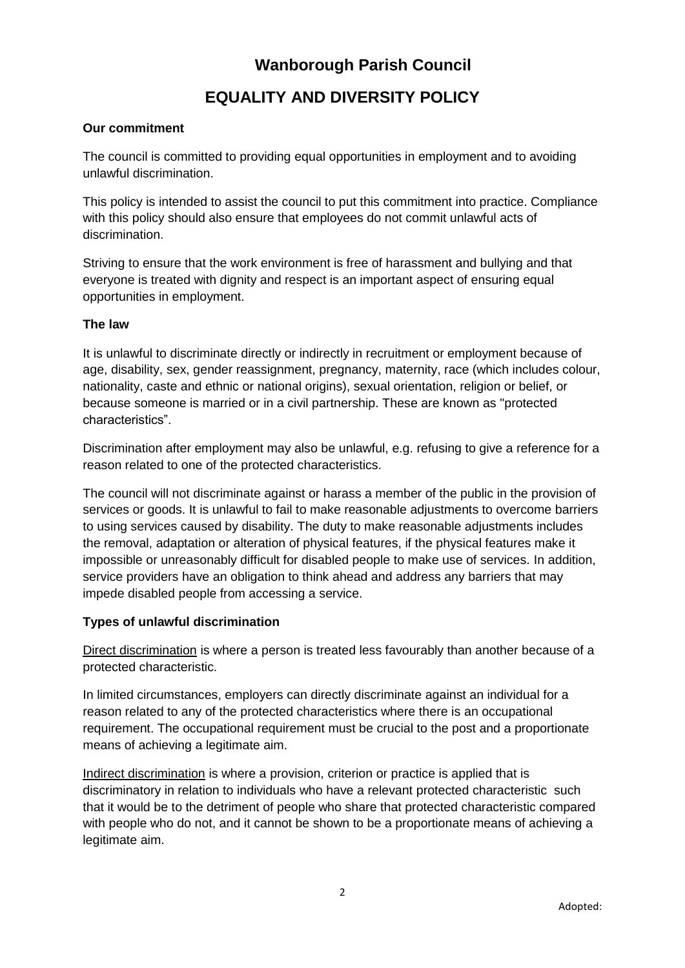# **EQUALITY AND DIVERSITY POLICY**

### **Our commitment**

The council is committed to providing equal opportunities in employment and to avoiding unlawful discrimination.

This policy is intended to assist the council to put this commitment into practice. Compliance with this policy should also ensure that employees do not commit unlawful acts of discrimination.

Striving to ensure that the work environment is free of harassment and bullying and that everyone is treated with dignity and respect is an important aspect of ensuring equal opportunities in employment.

### **The law**

It is unlawful to discriminate directly or indirectly in recruitment or employment because of age, disability, sex, gender reassignment, pregnancy, maternity, race (which includes colour, nationality, caste and ethnic or national origins), sexual orientation, religion or belief, or because someone is married or in a civil partnership. These are known as "protected characteristics".

Discrimination after employment may also be unlawful, e.g. refusing to give a reference for a reason related to one of the protected characteristics.

The council will not discriminate against or harass a member of the public in the provision of services or goods. It is unlawful to fail to make reasonable adjustments to overcome barriers to using services caused by disability. The duty to make reasonable adjustments includes the removal, adaptation or alteration of physical features, if the physical features make it impossible or unreasonably difficult for disabled people to make use of services. In addition, service providers have an obligation to think ahead and address any barriers that may impede disabled people from accessing a service.

#### **Types of unlawful discrimination**

Direct discrimination is where a person is treated less favourably than another because of a protected characteristic.

In limited circumstances, employers can directly discriminate against an individual for a reason related to any of the protected characteristics where there is an occupational requirement. The occupational requirement must be crucial to the post and a proportionate means of achieving a legitimate aim.

Indirect discrimination is where a provision, criterion or practice is applied that is discriminatory in relation to individuals who have a relevant protected characteristic such that it would be to the detriment of people who share that protected characteristic compared with people who do not, and it cannot be shown to be a proportionate means of achieving a legitimate aim.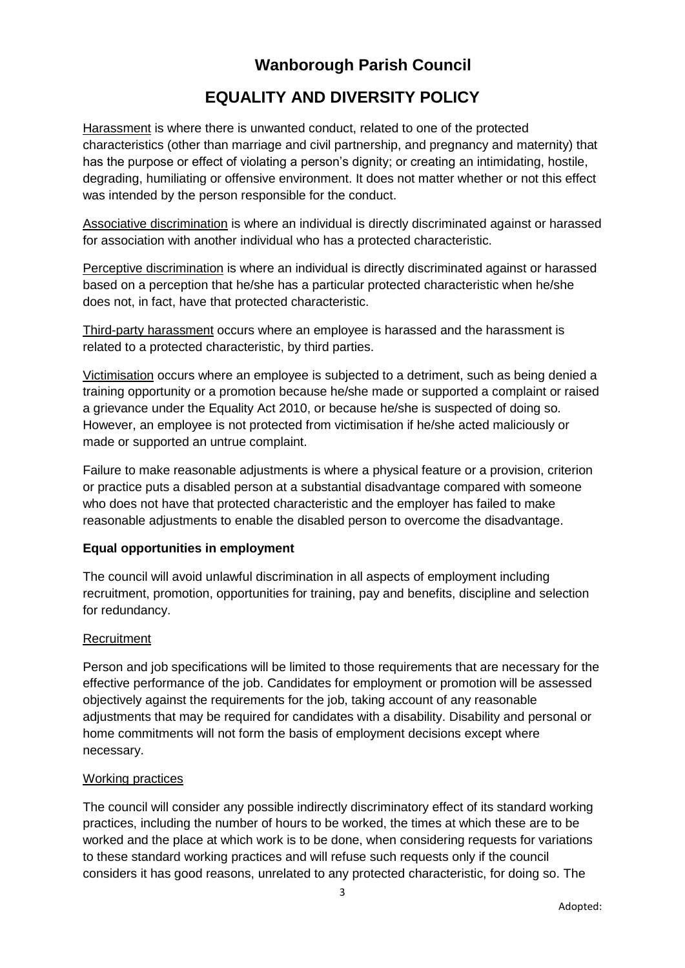### **EQUALITY AND DIVERSITY POLICY**

Harassment is where there is unwanted conduct, related to one of the protected characteristics (other than marriage and civil partnership, and pregnancy and maternity) that has the purpose or effect of violating a person's dignity; or creating an intimidating, hostile, degrading, humiliating or offensive environment. It does not matter whether or not this effect was intended by the person responsible for the conduct.

Associative discrimination is where an individual is directly discriminated against or harassed for association with another individual who has a protected characteristic.

Perceptive discrimination is where an individual is directly discriminated against or harassed based on a perception that he/she has a particular protected characteristic when he/she does not, in fact, have that protected characteristic.

Third-party harassment occurs where an employee is harassed and the harassment is related to a protected characteristic, by third parties.

Victimisation occurs where an employee is subjected to a detriment, such as being denied a training opportunity or a promotion because he/she made or supported a complaint or raised a grievance under the Equality Act 2010, or because he/she is suspected of doing so. However, an employee is not protected from victimisation if he/she acted maliciously or made or supported an untrue complaint.

Failure to make reasonable adjustments is where a physical feature or a provision, criterion or practice puts a disabled person at a substantial disadvantage compared with someone who does not have that protected characteristic and the employer has failed to make reasonable adjustments to enable the disabled person to overcome the disadvantage.

#### **Equal opportunities in employment**

The council will avoid unlawful discrimination in all aspects of employment including recruitment, promotion, opportunities for training, pay and benefits, discipline and selection for redundancy.

#### **Recruitment**

Person and job specifications will be limited to those requirements that are necessary for the effective performance of the job. Candidates for employment or promotion will be assessed objectively against the requirements for the job, taking account of any reasonable adjustments that may be required for candidates with a disability. Disability and personal or home commitments will not form the basis of employment decisions except where necessary.

#### Working practices

The council will consider any possible indirectly discriminatory effect of its standard working practices, including the number of hours to be worked, the times at which these are to be worked and the place at which work is to be done, when considering requests for variations to these standard working practices and will refuse such requests only if the council considers it has good reasons, unrelated to any protected characteristic, for doing so. The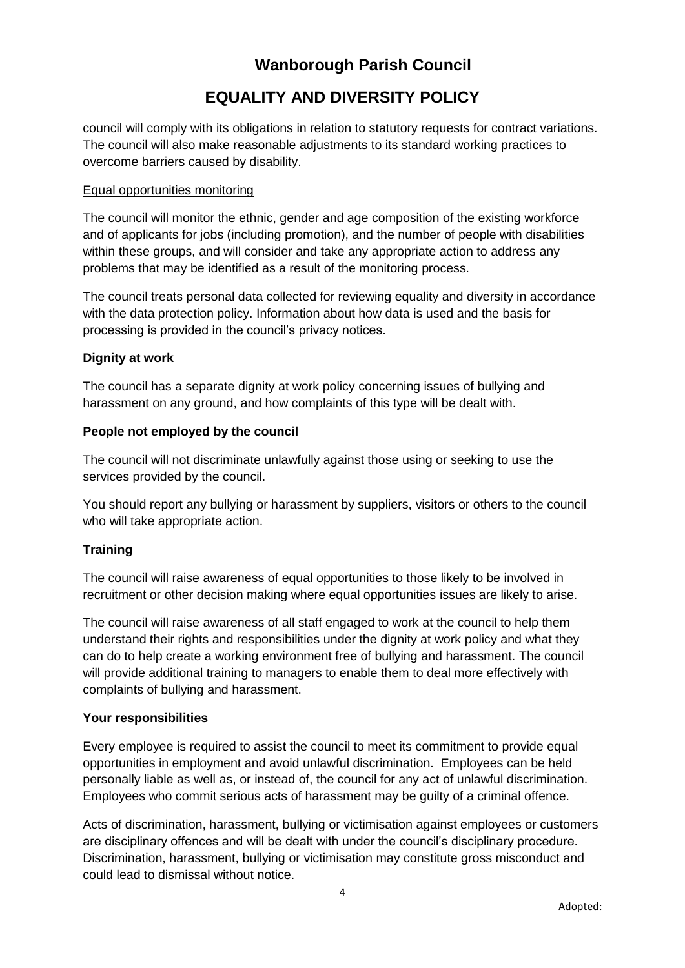# **EQUALITY AND DIVERSITY POLICY**

council will comply with its obligations in relation to statutory requests for contract variations. The council will also make reasonable adjustments to its standard working practices to overcome barriers caused by disability.

### Equal opportunities monitoring

The council will monitor the ethnic, gender and age composition of the existing workforce and of applicants for jobs (including promotion), and the number of people with disabilities within these groups, and will consider and take any appropriate action to address any problems that may be identified as a result of the monitoring process.

The council treats personal data collected for reviewing equality and diversity in accordance with the data protection policy. Information about how data is used and the basis for processing is provided in the council's privacy notices.

### **Dignity at work**

The council has a separate dignity at work policy concerning issues of bullying and harassment on any ground, and how complaints of this type will be dealt with.

### **People not employed by the council**

The council will not discriminate unlawfully against those using or seeking to use the services provided by the council.

You should report any bullying or harassment by suppliers, visitors or others to the council who will take appropriate action.

### **Training**

The council will raise awareness of equal opportunities to those likely to be involved in recruitment or other decision making where equal opportunities issues are likely to arise.

The council will raise awareness of all staff engaged to work at the council to help them understand their rights and responsibilities under the dignity at work policy and what they can do to help create a working environment free of bullying and harassment. The council will provide additional training to managers to enable them to deal more effectively with complaints of bullying and harassment.

#### **Your responsibilities**

Every employee is required to assist the council to meet its commitment to provide equal opportunities in employment and avoid unlawful discrimination. Employees can be held personally liable as well as, or instead of, the council for any act of unlawful discrimination. Employees who commit serious acts of harassment may be guilty of a criminal offence.

Acts of discrimination, harassment, bullying or victimisation against employees or customers are disciplinary offences and will be dealt with under the council's disciplinary procedure. Discrimination, harassment, bullying or victimisation may constitute gross misconduct and could lead to dismissal without notice.